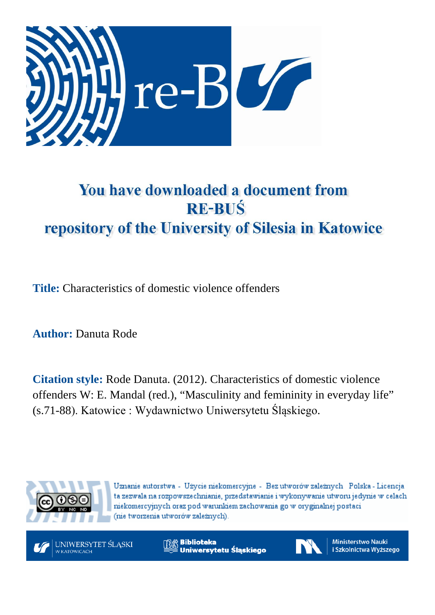

# You have downloaded a document from **RE-BUŚ** repository of the University of Silesia in Katowice

**Title:** Characteristics of domestic violence offenders

**Author:** Danuta Rode

**Citation style:** Rode Danuta. (2012). Characteristics of domestic violence offenders W: E. Mandal (red.), "Masculinity and femininity in everyday life" (s.71-88). Katowice : Wydawnictwo Uniwersytetu Śląskiego.



Uznanie autorstwa - Użycie niekomercyjne - Bez utworów zależnych Polska - Licencja ta zezwala na rozpowszechnianie, przedstawianie i wykonywanie utworu jedynie w celach niekomercyjnych oraz pod warunkiem zachowania go w oryginalnej postaci (nie tworzenia utworów zależnych).



**Biblioteka** Uniwersytetu Śląskiego



Ministerstwo Nauki i Szkolnictwa Wyższego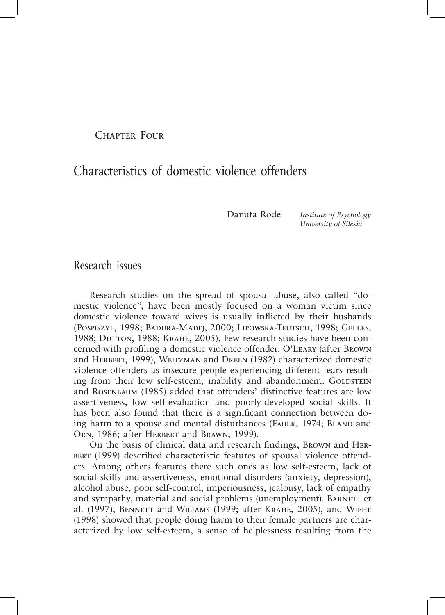Chapter Four

## Characteristics of domestic violence offenders

Danuta Rode *Institute of Psychology University of Silesia*

#### Research issues

Research studies on the spread of spousal abuse, also called "domestic violence", have been mostly focused on a woman victim since domestic violence toward wives is usually inflicted by their husbands (Pospiszyl, 1998; Badura-Madej, 2000; Lipowska-Teutsch, 1998; Gelles, 1988; DUTTON, 1988; KRAHE, 2005). Few research studies have been concerned with profiling a domestic violence offender. O'Leary (after Brown and Herbert, 1999), Weitzman and Dreen (1982) characterized domestic violence offenders as insecure people experiencing different fears resulting from their low self-esteem, inability and abandonment. GOLDSTEIN and Rosenbaum (1985) added that offenders' distinctive features are low assertiveness, low self-evaluation and poorly-developed social skills. It has been also found that there is a significant connection between doing harm to a spouse and mental disturbances (FAULK, 1974; BLAND and ORN, 1986; after HERBERT and BRAWN, 1999).

On the basis of clinical data and research findings, Brown and Her-BERT (1999) described characteristic features of spousal violence offenders. Among others features there such ones as low self-esteem, lack of social skills and assertiveness, emotional disorders (anxiety, depression), alcohol abuse, poor self-control, imperiousness, jealousy, lack of empathy and sympathy, material and social problems (unemployment). BARNETT et al. (1997), BENNETT and WILIAMS (1999; after KRAHE, 2005), and WIEHE (1998) showed that people doing harm to their female partners are characterized by low self-esteem, a sense of helplessness resulting from the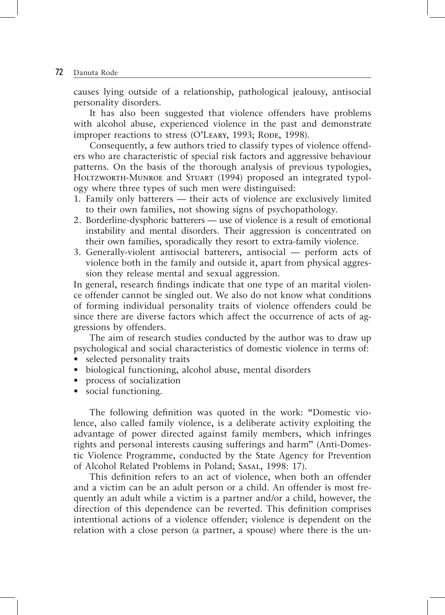causes lying outside of a relationship, pathological jealousy, antisocial personality disorders.

It has also been suggested that violence offenders have problems with alcohol abuse, experienced violence in the past and demonstrate improper reactions to stress (O'LEARY, 1993; RODE, 1998).

Consequently, a few authors tried to classify types of violence offenders who are characteristic of special risk factors and aggressive behaviour patterns. On the basis of the thorough analysis of previous typologies, HOLTZWORTH-MUNROE and STUART (1994) proposed an integrated typology where three types of such men were distinguised:

- 1. Family only batterers their acts of violence are exclusively limited to their own families, not showing signs of psychopathology.
- 2. Borderline-dysphoric batterers use of violence is a result of emotional instability and mental disorders. Their aggression is concentrated on their own families, sporadically they resort to extra-family violence.
- 3. Generally-violent antisocial batterers, antisocial perform acts of violence both in the family and outside it, apart from physical aggression they release mental and sexual aggression.

In general, research findings indicate that one type of an marital violence offender cannot be singled out. We also do not know what conditions of forming individual personality traits of violence offenders could be since there are diverse factors which affect the occurrence of acts of aggressions by offenders.

The aim of research studies conducted by the author was to draw up psychological and social characteristics of domestic violence in terms of:

- selected personality traits
- biological functioning, alcohol abuse, mental disorders
- process of socialization
- social functioning.

The following definition was quoted in the work: "Domestic violence, also called family violence, is a deliberate activity exploiting the advantage of power directed against family members, which infringes rights and personal interests causing sufferings and harm" (Anti-Domestic Violence Programme, conducted by the State Agency for Prevention of Alcohol Related Problems in Poland; Sasal, 1998: 17).

This definition refers to an act of violence, when both an offender and a victim can be an adult person or a child. An offender is most frequently an adult while a victim is a partner and/or a child, however, the direction of this dependence can be reverted. This definition comprises intentional actions of a violence offender; violence is dependent on the relation with a close person (a partner, a spouse) where there is the un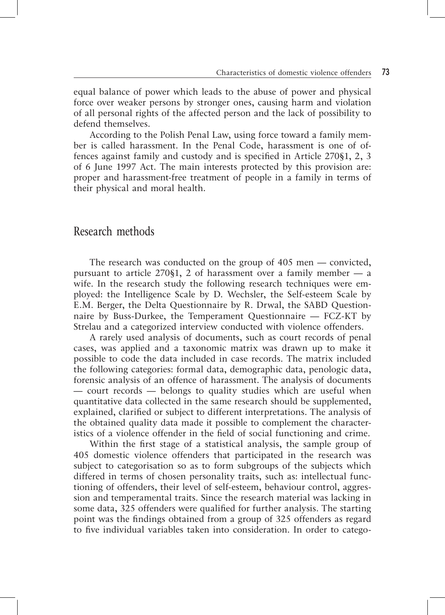equal balance of power which leads to the abuse of power and physical force over weaker persons by stronger ones, causing harm and violation of all personal rights of the affected person and the lack of possibility to defend themselves.

According to the Polish Penal Law, using force toward a family member is called harassment. In the Penal Code, harassment is one of offences against family and custody and is specified in Article 270§1, 2, 3 of 6 June 1997 Act. The main interests protected by this provision are: proper and harassment-free treatment of people in a family in terms of their physical and moral health.

#### Research methods

The research was conducted on the group of 405 men — convicted, pursuant to article  $270\$ 1, 2 of harassment over a family member — a wife. In the research study the following research techniques were employed: the Intelligence Scale by D. Wechsler, the Self-esteem Scale by E.M. Berger, the Delta Questionnaire by R. Drwal, the SABD Questionnaire by Buss-Durkee, the Temperament Questionnaire — FCZ-KT by Strelau and a categorized interview conducted with violence offenders.

A rarely used analysis of documents, such as court records of penal cases, was applied and a taxonomic matrix was drawn up to make it possible to code the data included in case records. The matrix included the following categories: formal data, demographic data, penologic data, forensic analysis of an offence of harassment. The analysis of documents — court records — belongs to quality studies which are useful when quantitative data collected in the same research should be supplemented, explained, clarified or subject to different interpretations. The analysis of the obtained quality data made it possible to complement the characteristics of a violence offender in the field of social functioning and crime.

Within the first stage of a statistical analysis, the sample group of 405 domestic violence offenders that participated in the research was subject to categorisation so as to form subgroups of the subjects which differed in terms of chosen personality traits, such as: intellectual functioning of offenders, their level of self-esteem, behaviour control, aggression and temperamental traits. Since the research material was lacking in some data, 325 offenders were qualified for further analysis. The starting point was the findings obtained from a group of 325 offenders as regard to five individual variables taken into consideration. In order to catego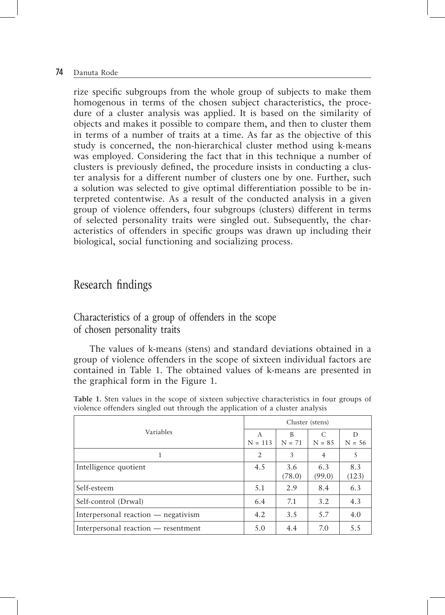rize specific subgroups from the whole group of subjects to make them homogenous in terms of the chosen subject characteristics, the procedure of a cluster analysis was applied. It is based on the similarity of objects and makes it possible to compare them, and then to cluster them in terms of a number of traits at a time. As far as the objective of this study is concerned, the non-hierarchical cluster method using k-means was employed. Considering the fact that in this technique a number of clusters is previously defined, the procedure insists in conducting a cluster analysis for a different number of clusters one by one. Further, such a solution was selected to give optimal differentiation possible to be interpreted contentwise. As a result of the conducted analysis in a given group of violence offenders, four subgroups (clusters) different in terms of selected personality traits were singled out. Subsequently, the characteristics of offenders in specific groups was drawn up including their biological, social functioning and socializing process.

### Research findings

#### Characteristics of a group of offenders in the scope of chosen personality traits

The values of k-means (stens) and standard deviations obtained in a group of violence offenders in the scope of sixteen individual factors are contained in Table 1. The obtained values of k-means are presented in the graphical form in the Figure 1.

|                                     |                | Cluster (stens) |                |               |
|-------------------------------------|----------------|-----------------|----------------|---------------|
| Variables                           | A<br>$N = 113$ | B<br>$N = 71$   | C<br>$N = 8.5$ | D<br>$N = 56$ |
|                                     | 2              | 3               | 4              | 5             |
| Intelligence quotient               | 4.5            | 3.6<br>(78.0)   | 6.3<br>(99.0)  | 8.3<br>(123)  |
| Self-esteem                         | 5.1            | 2.9             | 8.4            | 6.3           |
| Self-control (Drwal)                | 6.4            | 7.1             | 3.2            | 4.3           |
| Interpersonal reaction — negativism | 4.2            | 3.5             | 5.7            | 4.0           |
| Interpersonal reaction — resentment | 5.0            | 4.4             | 7.0            | 5.5           |

**Table 1.** Sten values in the scope of sixteen subjective characteristics in four groups of violence offenders singled out through the application of a cluster analysis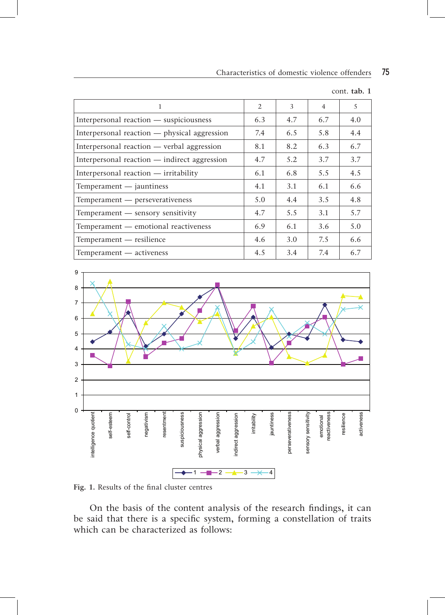| 1                                            | $\mathfrak{D}$ | 3   | $\overline{4}$ | 5   |
|----------------------------------------------|----------------|-----|----------------|-----|
| Interpersonal reaction — suspiciousness      | 6.3            | 4.7 | 6.7            | 4.0 |
| Interpersonal reaction — physical aggression | 7.4            | 6.5 | 5.8            | 4.4 |
| Interpersonal reaction — verbal aggression   | 8.1            | 8.2 | 6.3            | 6.7 |
| Interpersonal reaction — indirect aggression | 4.7            | 5.2 | 3.7            | 3.7 |
| Interpersonal reaction - irritability        | 6.1            | 6.8 | 5.5            | 4.5 |
| Temperament - jauntiness                     | 4.1            | 3.1 | 6.1            | 6.6 |
| Temperament — perseverativeness              | 5.0            | 4.4 | 3.5            | 4.8 |
| Temperament — sensory sensitivity            | 4.7            | 5.5 | 3.1            | 5.7 |
| Temperament — emotional reactiveness         | 6.9            | 6.1 | 3.6            | 5.0 |
| Temperament — resilience                     | 4.6            | 3.0 | 7.5            | 6.6 |
| Temperament — activeness                     | 4.5            | 3.4 | 7.4            | 6.7 |

cont. **tab. 1**



**Fig. 1.** Results of the final cluster centres

On the basis of the content analysis of the research findings, it can be said that there is a specific system, forming a constellation of traits which can be characterized as follows: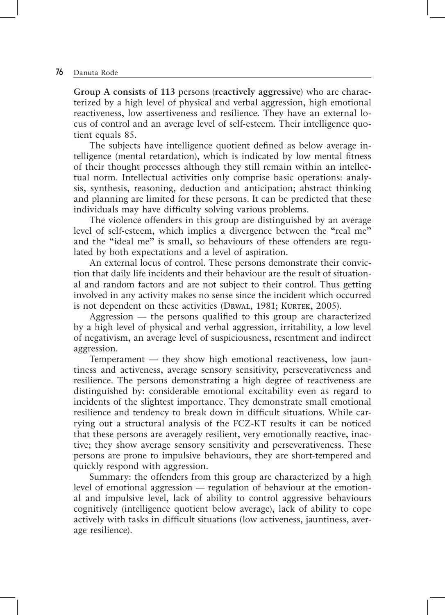**Group A consists of 113** persons (**reactively aggressive**) who are characterized by a high level of physical and verbal aggression, high emotional reactiveness, low assertiveness and resilience. They have an external locus of control and an average level of self-esteem. Their intelligence quotient equals 85.

The subjects have intelligence quotient defined as below average intelligence (mental retardation), which is indicated by low mental fitness of their thought processes although they still remain within an intellectual norm. Intellectual activities only comprise basic operations: analysis, synthesis, reasoning, deduction and anticipation; abstract thinking and planning are limited for these persons. It can be predicted that these individuals may have difficulty solving various problems.

The violence offenders in this group are distinguished by an average level of self-esteem, which implies a divergence between the "real me" and the "ideal me" is small, so behaviours of these offenders are regulated by both expectations and a level of aspiration.

An external locus of control. These persons demonstrate their conviction that daily life incidents and their behaviour are the result of situational and random factors and are not subject to their control. Thus getting involved in any activity makes no sense since the incident which occurred is not dependent on these activities (DRWAL, 1981; KURTEK, 2005).

Aggression — the persons qualified to this group are characterized by a high level of physical and verbal aggression, irritability, a low level of negativism, an average level of suspiciousness, resentment and indirect aggression.

Temperament — they show high emotional reactiveness, low jauntiness and activeness, average sensory sensitivity, perseverativeness and resilience. The persons demonstrating a high degree of reactiveness are distinguished by: considerable emotional excitability even as regard to incidents of the slightest importance. They demonstrate small emotional resilience and tendency to break down in difficult situations. While carrying out a structural analysis of the FCZ-KT results it can be noticed that these persons are averagely resilient, very emotionally reactive, inactive; they show average sensory sensitivity and perseverativeness. These persons are prone to impulsive behaviours, they are short-tempered and quickly respond with aggression.

Summary: the offenders from this group are characterized by a high level of emotional aggression — regulation of behaviour at the emotional and impulsive level, lack of ability to control aggressive behaviours cognitively (intelligence quotient below average), lack of ability to cope actively with tasks in difficult situations (low activeness, jauntiness, average resilience).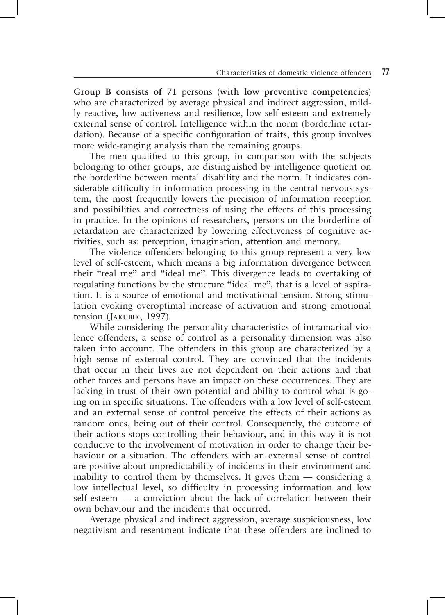**Group B consists of 71** persons (**with low preventive competencies**) who are characterized by average physical and indirect aggression, mildly reactive, low activeness and resilience, low self-esteem and extremely external sense of control. Intelligence within the norm (borderline retardation). Because of a specific configuration of traits, this group involves more wide-ranging analysis than the remaining groups.

The men qualified to this group, in comparison with the subjects belonging to other groups, are distinguished by intelligence quotient on the borderline between mental disability and the norm. It indicates considerable difficulty in information processing in the central nervous system, the most frequently lowers the precision of information reception and possibilities and correctness of using the effects of this processing in practice. In the opinions of researchers, persons on the borderline of retardation are characterized by lowering effectiveness of cognitive activities, such as: perception, imagination, attention and memory.

The violence offenders belonging to this group represent a very low level of self-esteem, which means a big information divergence between their "real me" and "ideal me". This divergence leads to overtaking of regulating functions by the structure "ideal me", that is a level of aspiration. It is a source of emotional and motivational tension. Strong stimulation evoking overoptimal increase of activation and strong emotional tension (Jakubik, 1997).

While considering the personality characteristics of intramarital violence offenders, a sense of control as a personality dimension was also taken into account. The offenders in this group are characterized by a high sense of external control. They are convinced that the incidents that occur in their lives are not dependent on their actions and that other forces and persons have an impact on these occurrences. They are lacking in trust of their own potential and ability to control what is going on in specific situations. The offenders with a low level of self-esteem and an external sense of control perceive the effects of their actions as random ones, being out of their control. Consequently, the outcome of their actions stops controlling their behaviour, and in this way it is not conducive to the involvement of motivation in order to change their behaviour or a situation. The offenders with an external sense of control are positive about unpredictability of incidents in their environment and inability to control them by themselves. It gives them — considering a low intellectual level, so difficulty in processing information and low self-esteem — a conviction about the lack of correlation between their own behaviour and the incidents that occurred.

Average physical and indirect aggression, average suspiciousness, low negativism and resentment indicate that these offenders are inclined to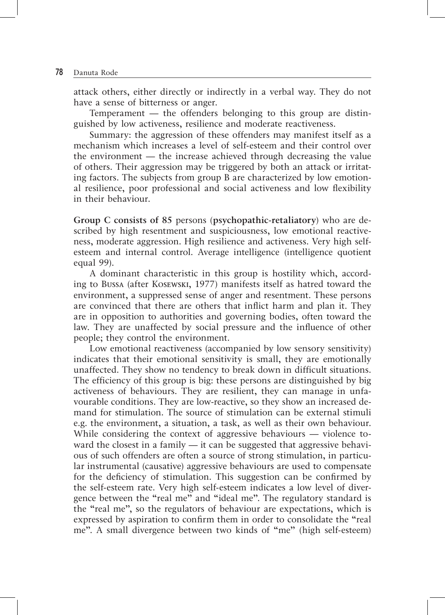attack others, either directly or indirectly in a verbal way. They do not have a sense of bitterness or anger.

Temperament — the offenders belonging to this group are distinguished by low activeness, resilience and moderate reactiveness.

Summary: the aggression of these offenders may manifest itself as a mechanism which increases a level of self-esteem and their control over the environment — the increase achieved through decreasing the value of others. Their aggression may be triggered by both an attack or irritating factors. The subjects from group B are characterized by low emotional resilience, poor professional and social activeness and low flexibility in their behaviour.

**Group C consists of 85** persons (**psychopathic-retaliatory**) who are described by high resentment and suspiciousness, low emotional reactiveness, moderate aggression. High resilience and activeness. Very high selfesteem and internal control. Average intelligence (intelligence quotient equal 99).

A dominant characteristic in this group is hostility which, according to Bussa (after Kosewski, 1977) manifests itself as hatred toward the environment, a suppressed sense of anger and resentment. These persons are convinced that there are others that inflict harm and plan it. They are in opposition to authorities and governing bodies, often toward the law. They are unaffected by social pressure and the influence of other people; they control the environment.

Low emotional reactiveness (accompanied by low sensory sensitivity) indicates that their emotional sensitivity is small, they are emotionally unaffected. They show no tendency to break down in difficult situations. The efficiency of this group is big: these persons are distinguished by big activeness of behaviours. They are resilient, they can manage in unfavourable conditions. They are low-reactive, so they show an increased demand for stimulation. The source of stimulation can be external stimuli e.g. the environment, a situation, a task, as well as their own behaviour. While considering the context of aggressive behaviours — violence toward the closest in a family — it can be suggested that aggressive behavious of such offenders are often a source of strong stimulation, in particular instrumental (causative) aggressive behaviours are used to compensate for the deficiency of stimulation. This suggestion can be confirmed by the self-esteem rate. Very high self-esteem indicates a low level of divergence between the "real me" and "ideal me". The regulatory standard is the "real me", so the regulators of behaviour are expectations, which is expressed by aspiration to confirm them in order to consolidate the "real me". A small divergence between two kinds of "me" (high self-esteem)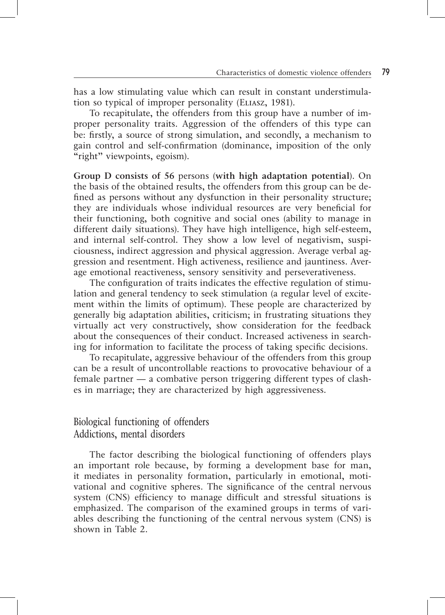has a low stimulating value which can result in constant understimulation so typical of improper personality (Eliasz, 1981).

To recapitulate, the offenders from this group have a number of improper personality traits. Aggression of the offenders of this type can be: firstly, a source of strong simulation, and secondly, a mechanism to gain control and self-confirmation (dominance, imposition of the only "right" viewpoints, egoism).

**Group D consists of 56** persons (**with high adaptation potential**). On the basis of the obtained results, the offenders from this group can be defined as persons without any dysfunction in their personality structure; they are individuals whose individual resources are very beneficial for their functioning, both cognitive and social ones (ability to manage in different daily situations). They have high intelligence, high self-esteem, and internal self-control. They show a low level of negativism, suspiciousness, indirect aggression and physical aggression. Average verbal aggression and resentment. High activeness, resilience and jauntiness. Average emotional reactiveness, sensory sensitivity and perseverativeness.

The configuration of traits indicates the effective regulation of stimulation and general tendency to seek stimulation (a regular level of excitement within the limits of optimum). These people are characterized by generally big adaptation abilities, criticism; in frustrating situations they virtually act very constructively, show consideration for the feedback about the consequences of their conduct. Increased activeness in searching for information to facilitate the process of taking specific decisions.

To recapitulate, aggressive behaviour of the offenders from this group can be a result of uncontrollable reactions to provocative behaviour of a female partner — a combative person triggering different types of clashes in marriage; they are characterized by high aggressiveness.

#### Biological functioning of offenders Addictions, mental disorders

The factor describing the biological functioning of offenders plays an important role because, by forming a development base for man, it mediates in personality formation, particularly in emotional, motivational and cognitive spheres. The significance of the central nervous system (CNS) efficiency to manage difficult and stressful situations is emphasized. The comparison of the examined groups in terms of variables describing the functioning of the central nervous system (CNS) is shown in Table 2.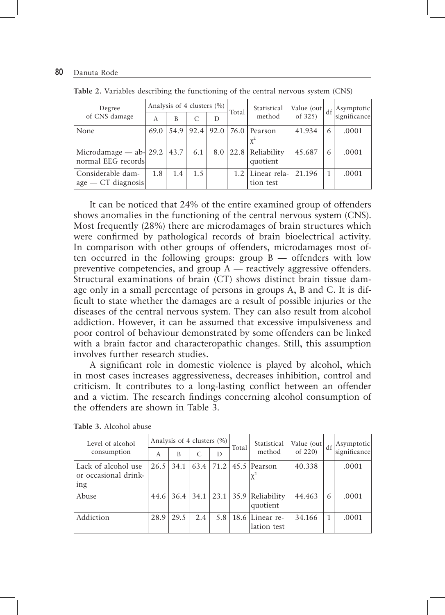| Degree                                              |      | Analysis of 4 clusters (%) |               |     | Total         | Statistical                         | Value (out) | df | Asymptotic   |
|-----------------------------------------------------|------|----------------------------|---------------|-----|---------------|-------------------------------------|-------------|----|--------------|
| of CNS damage                                       | A    | B                          | C             | D   |               | method                              | of 325)     |    | significance |
| None                                                | 69.0 |                            |               |     |               | 54.9   92.4   92.0   76.0   Pearson | 41.934      | 6  | .0001        |
|                                                     |      |                            |               |     |               |                                     |             |    |              |
| Microdamage - ab- 29.2   43.7<br>normal EEG records |      |                            | 6.1           | 8.0 |               | $ 22.8 $ Reliability<br>quotient    | 45.687      | 6  | .0001        |
| Considerable dam-<br>$age - CT$ diagnosis           | 1.8  | 1.4                        | $1.5^{\circ}$ |     | $1.2^{\circ}$ | Linear rela-<br>tion test           | 21.196      | 1  | .0001        |

**Table 2.** Variables describing the functioning of the central nervous system (CNS)

It can be noticed that 24% of the entire examined group of offenders shows anomalies in the functioning of the central nervous system (CNS). Most frequently (28%) there are microdamages of brain structures which were confirmed by pathological records of brain bioelectrical activity. In comparison with other groups of offenders, microdamages most often occurred in the following groups: group B — offenders with low preventive competencies, and group  $\overline{A}$  — reactively aggressive offenders. Structural examinations of brain (CT) shows distinct brain tissue damage only in a small percentage of persons in groups A, B and C. It is difficult to state whether the damages are a result of possible injuries or the diseases of the central nervous system. They can also result from alcohol addiction. However, it can be assumed that excessive impulsiveness and poor control of behaviour demonstrated by some offenders can be linked with a brain factor and characteropathic changes. Still, this assumption involves further research studies.

A significant role in domestic violence is played by alcohol, which in most cases increases aggressiveness, decreases inhibition, control and criticism. It contributes to a long-lasting conflict between an offender and a victim. The research findings concerning alcohol consumption of the offenders are shown in Table 3.

| Level of alcohol                                   |      | Analysis of 4 clusters (%) |               |      | Total | Statistical                    | Value (out) | df | Asymptotic   |
|----------------------------------------------------|------|----------------------------|---------------|------|-------|--------------------------------|-------------|----|--------------|
| consumption                                        | А    | B                          | $\mathcal{C}$ | D    |       | method                         | of 220)     |    | significance |
| Lack of alcohol use<br>or occasional drink-<br>ing | 26.5 | 34.1                       | 63.4          | 71.2 |       | 45.5 Pearson                   | 40.338      |    | .0001        |
| Abuse                                              | 44.6 | 36.4                       | 34.1          | 23.1 |       | 35.9 Reliability<br>quotient   | 44.463      | 6  | .0001        |
| Addiction                                          | 28.9 | 29.5                       | 2.4           | 5.8  |       | 18.6 Linear re-<br>lation test | 34.166      | 1  | .0001        |

**Table 3.** Alcohol abuse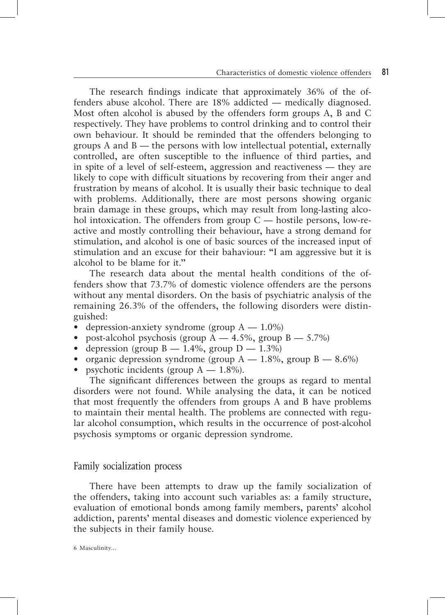The research findings indicate that approximately 36% of the offenders abuse alcohol. There are 18% addicted — medically diagnosed. Most often alcohol is abused by the offenders form groups A, B and C respectively. They have problems to control drinking and to control their own behaviour. It should be reminded that the offenders belonging to groups A and B — the persons with low intellectual potential, externally controlled, are often susceptible to the influence of third parties, and in spite of a level of self-esteem, aggression and reactiveness — they are likely to cope with difficult situations by recovering from their anger and frustration by means of alcohol. It is usually their basic technique to deal with problems. Additionally, there are most persons showing organic brain damage in these groups, which may result from long-lasting alcohol intoxication. The offenders from group  $C$  — hostile persons, low-reactive and mostly controlling their behaviour, have a strong demand for stimulation, and alcohol is one of basic sources of the increased input of stimulation and an excuse for their bahaviour: "I am aggressive but it is alcohol to be blame for it."

The research data about the mental health conditions of the offenders show that 73.7% of domestic violence offenders are the persons without any mental disorders. On the basis of psychiatric analysis of the remaining 26.3% of the offenders, the following disorders were distinguished:

- depression-anxiety syndrome (group  $A 1.0\%$ )
- post-alcohol psychosis (group  $A = 4.5\%$ , group  $B = 5.7\%$ )
- depression (group  $B 1.4\%$ , group  $D 1.3\%$ )
- organic depression syndrome (group  $A = 1.8\%$ , group  $B = 8.6\%$ )
- psychotic incidents (group  $A = 1.8\%$ ).

The significant differences between the groups as regard to mental disorders were not found. While analysing the data, it can be noticed that most frequently the offenders from groups A and B have problems to maintain their mental health. The problems are connected with regular alcohol consumption, which results in the occurrence of post-alcohol psychosis symptoms or organic depression syndrome.

#### Family socialization process

There have been attempts to draw up the family socialization of the offenders, taking into account such variables as: a family structure, evaluation of emotional bonds among family members, parents' alcohol addiction, parents' mental diseases and domestic violence experienced by the subjects in their family house.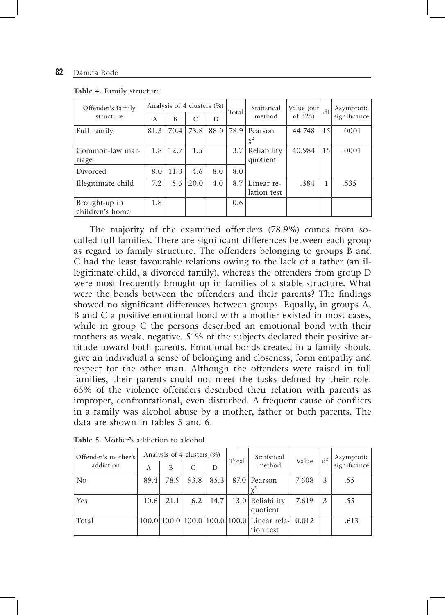| Offender's family  |      | Analysis of 4 clusters (%) |      |      | Total | Statistical | Value (out) | df              | Asymptotic   |
|--------------------|------|----------------------------|------|------|-------|-------------|-------------|-----------------|--------------|
| structure          | A    | B                          | C    | D    |       | method      | of $325$    |                 | significance |
| Full family        | 81.3 | 70.4                       | 73.8 | 88.0 | 78.9  | Pearson     | 44.748      | 15              | .0001        |
|                    |      |                            |      |      |       | $x^2$       |             |                 |              |
| Common-law mar-    | 1.8  | 12.7                       | 1.5  |      | 3.7   | Reliability | 40.984      | 15 <sup>1</sup> | .0001        |
| riage              |      |                            |      |      |       | quotient    |             |                 |              |
| Divorced           | 8.0  | 11.3                       | 4.6  | 8.0  | 8.0   |             |             |                 |              |
| Illegitimate child | 7.2  | 5.6                        | 20.0 | 4.0  | 8.7   | Linear re-  | .384        | 1               | .535         |
|                    |      |                            |      |      |       | lation test |             |                 |              |
| Brought-up in      | 1.8  |                            |      |      | 0.6   |             |             |                 |              |
| children's home    |      |                            |      |      |       |             |             |                 |              |

**Table 4.** Family structure

The majority of the examined offenders (78.9%) comes from socalled full families. There are significant differences between each group as regard to family structure. The offenders belonging to groups B and C had the least favourable relations owing to the lack of a father (an illegitimate child, a divorced family), whereas the offenders from group D were most frequently brought up in families of a stable structure. What were the bonds between the offenders and their parents? The findings showed no significant differences between groups. Equally, in groups A, B and C a positive emotional bond with a mother existed in most cases, while in group C the persons described an emotional bond with their mothers as weak, negative. 51% of the subjects declared their positive attitude toward both parents. Emotional bonds created in a family should give an individual a sense of belonging and closeness, form empathy and respect for the other man. Although the offenders were raised in full families, their parents could not meet the tasks defined by their role. 65% of the violence offenders described their relation with parents as improper, confrontational, even disturbed. A frequent cause of conflicts in a family was alcohol abuse by a mother, father or both parents. The data are shown in tables 5 and 6.

| Offender's mother's |      | Analysis of 4 clusters (%) |      |      | Total | Statistical                                | Value | df | Asymptotic   |
|---------------------|------|----------------------------|------|------|-------|--------------------------------------------|-------|----|--------------|
| addiction           | A    | B                          | C    | D    |       | method                                     |       |    | significance |
| No                  | 89.4 | 78.9                       | 93.8 | 85.3 |       | 87.0 Pearson                               | 7.608 | 3  | .55          |
|                     |      |                            |      |      |       |                                            |       |    |              |
| Yes                 | 10.6 | 21.1                       | 6.2  | 14.7 |       | 13.0 Reliability                           | 7.619 | 3  | .55          |
|                     |      |                            |      |      |       | quotient                                   |       |    |              |
| Total               |      |                            |      |      |       | 100.0 100.0 100.0 100.0 100.0 Linear rela- | 0.012 |    | .613         |
|                     |      |                            |      |      |       | tion test                                  |       |    |              |

**Table 5.** Mother's addiction to alcohol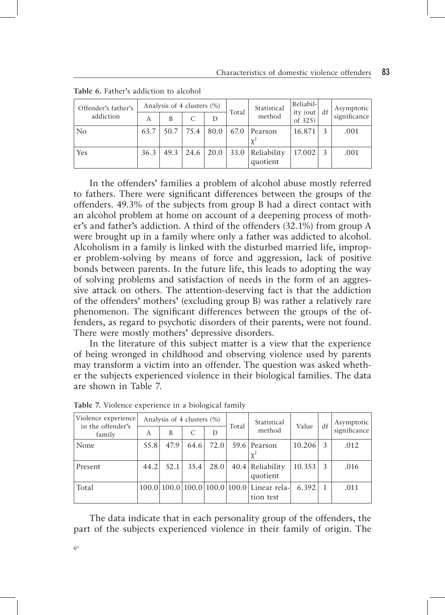| Offender's father's |      |      | Analysis of 4 clusters (%) |                  | Total | Statistical        | Reliabil-<br>ity (out df | Asymptotic   |
|---------------------|------|------|----------------------------|------------------|-------|--------------------|--------------------------|--------------|
| addiction           | А    | B    | $\mathcal{C}$              | D                |       | method             | of $325$                 | significance |
| N <sub>o</sub>      | 63.7 | 50.7 | 75.4                       | 80.0             |       | $67.0$ Pearson     | 16.871                   | .001         |
|                     |      |      |                            |                  |       |                    |                          |              |
| Yes                 | 36.3 | 49.3 |                            | $24.6 \mid 20.0$ |       | 33.0   Reliability | 17.002                   | .001         |
|                     |      |      |                            |                  |       | quotient           |                          |              |

**Table 6.** Father's addiction to alcohol

In the offenders' families a problem of alcohol abuse mostly referred to fathers. There were significant differences between the groups of the offenders. 49.3% of the subjects from group B had a direct contact with an alcohol problem at home on account of a deepening process of mother's and father's addiction. A third of the offenders (32.1%) from group A were brought up in a family where only a father was addicted to alcohol. Alcoholism in a family is linked with the disturbed married life, improper problem-solving by means of force and aggression, lack of positive bonds between parents. In the future life, this leads to adopting the way of solving problems and satisfaction of needs in the form of an aggressive attack on others. The attention-deserving fact is that the addiction of the offenders' mothers' (excluding group B) was rather a relatively rare phenomenon. The significant differences between the groups of the offenders, as regard to psychotic disorders of their parents, were not found. There were mostly mothers' depressive disorders.

In the literature of this subject matter is a view that the experience of being wronged in childhood and observing violence used by parents may transform a victim into an offender. The question was asked whether the subjects experienced violence in their biological families. The data are shown in Table 7.

| Violence experience<br>in the offender's |      | Analysis of 4 clusters (%) |      |      | Total | Statistical                                | Value  | df | Asymptotic   |
|------------------------------------------|------|----------------------------|------|------|-------|--------------------------------------------|--------|----|--------------|
| family                                   | A    | B                          | C    | D    |       | method                                     |        |    | significance |
| None                                     | 55.8 | 47.9                       | 64.6 | 72.0 |       | 59.6 Pearson                               | 10.206 |    | .012         |
|                                          |      |                            |      |      |       |                                            |        |    |              |
| Present                                  | 44.2 | 52.1                       | 35.4 | 28.0 |       | 40.4 Reliability                           | 10.353 | -3 | .016         |
|                                          |      |                            |      |      |       | quotient                                   |        |    |              |
| Total                                    |      |                            |      |      |       | 100.0 100.0 100.0 100.0 100.0 Linear rela- | 6.392  |    | .011         |
|                                          |      |                            |      |      |       | tion test                                  |        |    |              |

**Table 7.** Violence experience in a biological family

The data indicate that in each personality group of the offenders, the part of the subjects experienced violence in their family of origin. The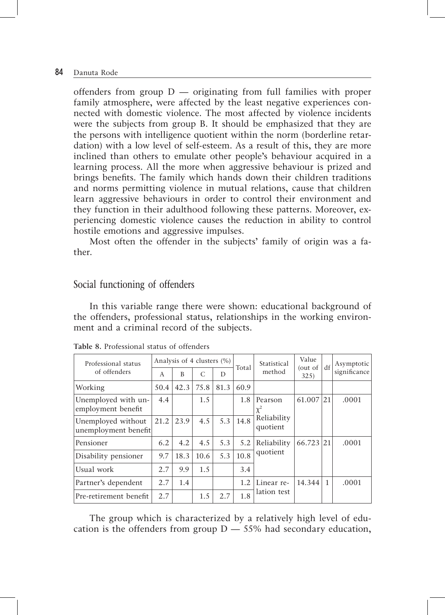offenders from group  $D$  — originating from full families with proper family atmosphere, were affected by the least negative experiences connected with domestic violence. The most affected by violence incidents were the subjects from group B. It should be emphasized that they are the persons with intelligence quotient within the norm (borderline retardation) with a low level of self-esteem. As a result of this, they are more inclined than others to emulate other people's behaviour acquired in a learning process. All the more when aggressive behaviour is prized and brings benefits. The family which hands down their children traditions and norms permitting violence in mutual relations, cause that children learn aggressive behaviours in order to control their environment and they function in their adulthood following these patterns. Moreover, experiencing domestic violence causes the reduction in ability to control hostile emotions and aggressive impulses.

Most often the offender in the subjects' family of origin was a father.

#### Social functioning of offenders

In this variable range there were shown: educational background of the offenders, professional status, relationships in the working environment and a criminal record of the subjects.

| Professional status                        |      | Analysis of 4 clusters (%) |      |      | Total | Statistical             | Value<br>(out of | df           | Asymptotic   |
|--------------------------------------------|------|----------------------------|------|------|-------|-------------------------|------------------|--------------|--------------|
| of offenders                               | A    | B                          | C    | D    |       | method                  | 325)             |              | significance |
| Working                                    | 50.4 | 42.3                       | 75.8 | 81.3 | 60.9  |                         |                  |              |              |
| Unemployed with un-<br>employment benefit  | 4.4  |                            | 1.5  |      | 1.8   | Pearson<br>$\chi^2$     | 61.007           | 21           | .0001        |
| Unemployed without<br>unemployment benefit | 21.2 | 23.9                       | 4.5  | 5.3  | 14.8  | Reliability<br>quotient |                  |              |              |
| Pensioner                                  | 6.2  | 4.2                        | 4.5  | 5.3  | 5.2   | Reliability             | 66.723 21        |              | .0001        |
| Disability pensioner                       | 9.7  | 18.3                       | 10.6 | 5.3  | 10.8  | quotient                |                  |              |              |
| Usual work                                 | 2.7  | 9.9                        | 1.5  |      | 3.4   |                         |                  |              |              |
| Partner's dependent                        | 2.7  | 1.4                        |      |      | 1.2   | Linear re-              | 14.344           | $\mathbf{1}$ | .0001        |
| Pre-retirement benefit                     | 2.7  |                            | 1.5  | 2.7  | 1.8   | lation test             |                  |              |              |

|  | Table 8. Professional status of offenders |  |  |  |
|--|-------------------------------------------|--|--|--|
|--|-------------------------------------------|--|--|--|

The group which is characterized by a relatively high level of education is the offenders from group  $D - 55%$  had secondary education,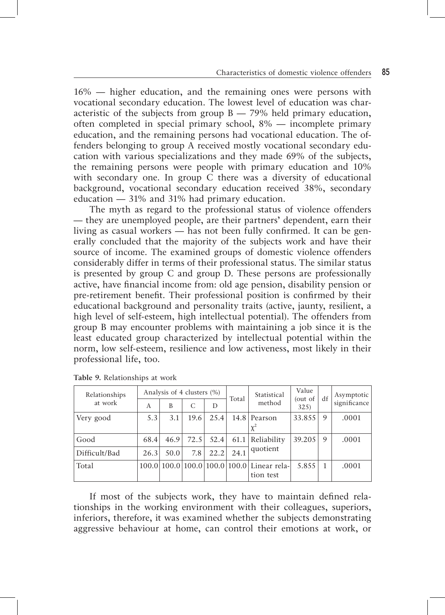16% — higher education, and the remaining ones were persons with vocational secondary education. The lowest level of education was characteristic of the subjects from group  $B - 79\%$  held primary education, often completed in special primary school, 8% — incomplete primary education, and the remaining persons had vocational education. The offenders belonging to group A received mostly vocational secondary education with various specializations and they made 69% of the subjects, the remaining persons were people with primary education and 10% with secondary one. In group C there was a diversity of educational background, vocational secondary education received 38%, secondary education — 31% and 31% had primary education.

The myth as regard to the professional status of violence offenders — they are unemployed people, are their partners' dependent, earn their living as casual workers — has not been fully confirmed. It can be generally concluded that the majority of the subjects work and have their source of income. The examined groups of domestic violence offenders considerably differ in terms of their professional status. The similar status is presented by group C and group D. These persons are professionally active, have financial income from: old age pension, disability pension or pre-retirement benefit. Their professional position is confirmed by their educational background and personality traits (active, jaunty, resilient, a high level of self-esteem, high intellectual potential). The offenders from group B may encounter problems with maintaining a job since it is the least educated group characterized by intellectual potential within the norm, low self-esteem, resilience and low activeness, most likely in their professional life, too.

| Relationships |      | Analysis of 4 clusters (%) |      |      | Total | Statistical                                             | Value<br>(out of | df | Asymptotic   |
|---------------|------|----------------------------|------|------|-------|---------------------------------------------------------|------------------|----|--------------|
| at work       | A    | B                          | C    | D    |       | method                                                  | 325)             |    | significance |
| Very good     | 5.3  | 3.1                        | 19.6 | 25.4 |       | 14.8 Pearson                                            | 33.855           | 9  | .0001        |
|               |      |                            |      |      |       |                                                         |                  |    |              |
| Good          | 68.4 | 46.9                       | 72.5 | 52.4 | 61.1  | Reliability                                             | 39.205           | 9  | .0001        |
| Difficult/Bad | 26.3 | 50.0                       | 7.8  | 22.2 | 24.1  | quotient                                                |                  |    |              |
| Total         |      |                            |      |      |       | 100.0 100.0 100.0 100.0 100.0 Linear rela-<br>tion test | 5.855            |    | .0001        |

**Table 9.** Relationships at work

If most of the subjects work, they have to maintain defined relationships in the working environment with their colleagues, superiors, inferiors, therefore, it was examined whether the subjects demonstrating aggressive behaviour at home, can control their emotions at work, or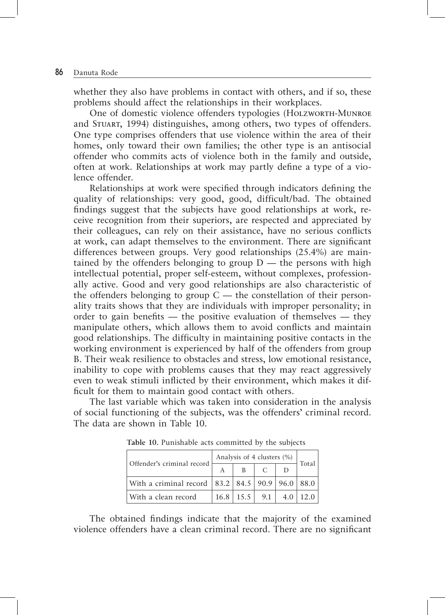whether they also have problems in contact with others, and if so, these problems should affect the relationships in their workplaces.

One of domestic violence offenders typologies (Holzworth-Munroe and Stuart, 1994) distinguishes, among others, two types of offenders. One type comprises offenders that use violence within the area of their homes, only toward their own families; the other type is an antisocial offender who commits acts of violence both in the family and outside, often at work. Relationships at work may partly define a type of a violence offender.

Relationships at work were specified through indicators defining the quality of relationships: very good, good, difficult/bad. The obtained findings suggest that the subjects have good relationships at work, receive recognition from their superiors, are respected and appreciated by their colleagues, can rely on their assistance, have no serious conflicts at work, can adapt themselves to the environment. There are significant differences between groups. Very good relationships (25.4%) are maintained by the offenders belonging to group  $D$  — the persons with high intellectual potential, proper self-esteem, without complexes, professionally active. Good and very good relationships are also characteristic of the offenders belonging to group  $C$  — the constellation of their personality traits shows that they are individuals with improper personality; in order to gain benefits  $-$  the positive evaluation of themselves  $-$  they manipulate others, which allows them to avoid conflicts and maintain good relationships. The difficulty in maintaining positive contacts in the working environment is experienced by half of the offenders from group B. Their weak resilience to obstacles and stress, low emotional resistance, inability to cope with problems causes that they may react aggressively even to weak stimuli inflicted by their environment, which makes it difficult for them to maintain good contact with others.

The last variable which was taken into consideration in the analysis of social functioning of the subjects, was the offenders' criminal record. The data are shown in Table 10.

| Offender's criminal record                                | Analysis of 4 clusters (%) |                     |     |       |  |  |  |  |
|-----------------------------------------------------------|----------------------------|---------------------|-----|-------|--|--|--|--|
|                                                           | B                          |                     |     | Total |  |  |  |  |
| With a criminal record   83.2   84.5   90.9   96.0   88.0 |                            |                     |     |       |  |  |  |  |
| With a clean record                                       |                            | $16.8$   15.5   9.1 | 4.0 |       |  |  |  |  |

**Table 10.** Punishable acts committed by the subjects

The obtained findings indicate that the majority of the examined violence offenders have a clean criminal record. There are no significant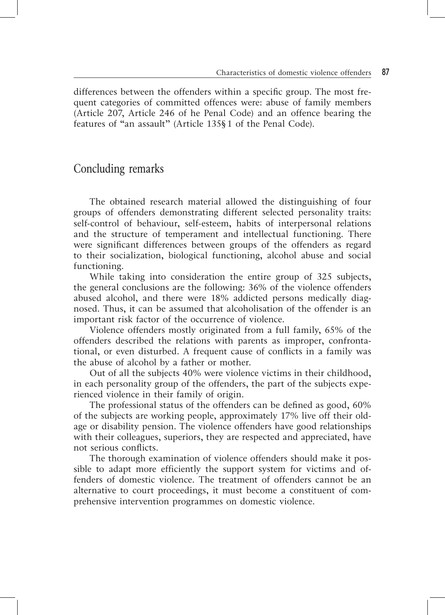differences between the offenders within a specific group. The most frequent categories of committed offences were: abuse of family members (Article 207, Article 246 of he Penal Code) and an offence bearing the features of "an assault" (Article 135§1 of the Penal Code).

#### Concluding remarks

The obtained research material allowed the distinguishing of four groups of offenders demonstrating different selected personality traits: self-control of behaviour, self-esteem, habits of interpersonal relations and the structure of temperament and intellectual functioning. There were significant differences between groups of the offenders as regard to their socialization, biological functioning, alcohol abuse and social functioning.

While taking into consideration the entire group of 325 subjects, the general conclusions are the following: 36% of the violence offenders abused alcohol, and there were 18% addicted persons medically diagnosed. Thus, it can be assumed that alcoholisation of the offender is an important risk factor of the occurrence of violence.

Violence offenders mostly originated from a full family, 65% of the offenders described the relations with parents as improper, confrontational, or even disturbed. A frequent cause of conflicts in a family was the abuse of alcohol by a father or mother.

Out of all the subjects 40% were violence victims in their childhood, in each personality group of the offenders, the part of the subjects experienced violence in their family of origin.

The professional status of the offenders can be defined as good, 60% of the subjects are working people, approximately 17% live off their oldage or disability pension. The violence offenders have good relationships with their colleagues, superiors, they are respected and appreciated, have not serious conflicts.

The thorough examination of violence offenders should make it possible to adapt more efficiently the support system for victims and offenders of domestic violence. The treatment of offenders cannot be an alternative to court proceedings, it must become a constituent of comprehensive intervention programmes on domestic violence.